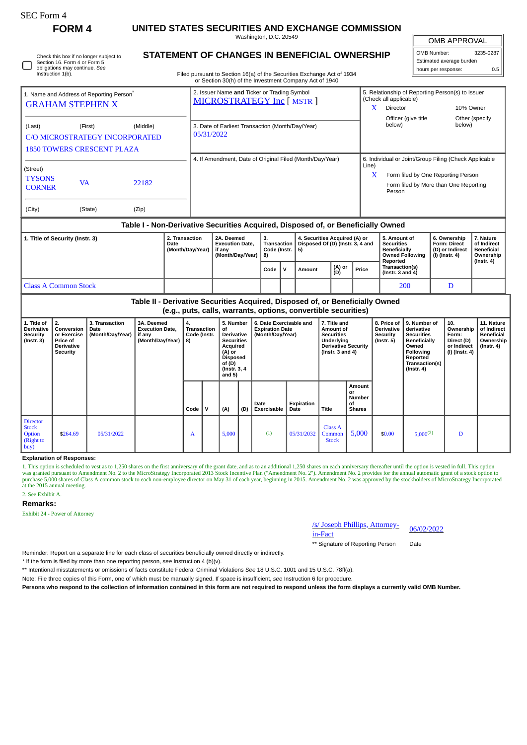| rtt, Form |  |
|-----------|--|
|-----------|--|

 $\Box$ 

I

Check this box if no longer subject to Section 16. Form 4 or Form 5

## **FORM 4 UNITED STATES SECURITIES AND EXCHANGE COMMISSION**

Washington, D.C. 20549 **STATEMENT OF CHANGES IN BENEFICIAL OWNERSHIP**

I OMB APPROVAL

| OMB Number:              | 3235-0287 |  |  |  |  |  |  |  |  |
|--------------------------|-----------|--|--|--|--|--|--|--|--|
| Estimated average burden |           |  |  |  |  |  |  |  |  |
| hours per response:      | 0.5       |  |  |  |  |  |  |  |  |

| Instruction 1(b).                                    | obligations may continue. See |                                |                                                                           | Filed pursuant to Section 16(a) of the Securities Exchange Act of 1934 |                                                       |                                                  |  |  |  |  |  |
|------------------------------------------------------|-------------------------------|--------------------------------|---------------------------------------------------------------------------|------------------------------------------------------------------------|-------------------------------------------------------|--------------------------------------------------|--|--|--|--|--|
|                                                      |                               |                                | or Section 30(h) of the Investment Company Act of 1940                    |                                                                        |                                                       |                                                  |  |  |  |  |  |
| 1. Name and Address of Reporting Person <sup>®</sup> |                               |                                | 2. Issuer Name and Ticker or Trading Symbol<br>MICROSTRATEGY Inc [ MSTR ] | (Check all applicable)                                                 |                                                       | 5. Relationship of Reporting Person(s) to Issuer |  |  |  |  |  |
| <b>GRAHAM STEPHEN X</b>                              |                               |                                |                                                                           | X                                                                      | Director                                              | 10% Owner                                        |  |  |  |  |  |
|                                                      |                               |                                |                                                                           |                                                                        | Officer (give title                                   | Other (specify                                   |  |  |  |  |  |
| (Last)                                               | (First)                       | (Middle)                       | 3. Date of Earliest Transaction (Month/Day/Year)                          |                                                                        | below)                                                | below)                                           |  |  |  |  |  |
|                                                      |                               | C/O MICROSTRATEGY INCORPORATED | 05/31/2022                                                                |                                                                        |                                                       |                                                  |  |  |  |  |  |
| <b>1850 TOWERS CRESCENT PLAZA</b>                    |                               |                                |                                                                           |                                                                        |                                                       |                                                  |  |  |  |  |  |
|                                                      |                               |                                | 4. If Amendment, Date of Original Filed (Month/Day/Year)                  |                                                                        | 6. Individual or Joint/Group Filing (Check Applicable |                                                  |  |  |  |  |  |
| (Street)                                             |                               |                                |                                                                           | Line)                                                                  |                                                       |                                                  |  |  |  |  |  |
| <b>TYSONS</b>                                        |                               |                                |                                                                           | X                                                                      | Form filed by One Reporting Person                    |                                                  |  |  |  |  |  |
| <b>CORNER</b>                                        | <b>VA</b>                     | 22182                          |                                                                           |                                                                        | Form filed by More than One Reporting<br>Person       |                                                  |  |  |  |  |  |
|                                                      |                               |                                |                                                                           |                                                                        |                                                       |                                                  |  |  |  |  |  |
| (City)                                               | (State)                       | (Zip)                          |                                                                           |                                                                        |                                                       |                                                  |  |  |  |  |  |
|                                                      |                               |                                |                                                                           |                                                                        |                                                       |                                                  |  |  |  |  |  |

#### **Table I - Non-Derivative Securities Acquired, Disposed of, or Beneficially Owned**

| 1. Title of Security (Instr. 3) | 2. Transaction<br>Date<br>(Month/Day/Year) | 2A. Deemed<br><b>Execution Date.</b><br>if anv<br>' (Month/Day/Year) | з.<br>Transaction<br>Code (Instr.   5)<br>  8) |  | 4. Securities Acquired (A) or<br>Disposed Of (D) (Instr. 3, 4 and |               |       | 5. Amount of<br><b>Securities</b><br>' Beneficially<br><b>Owned Following</b><br>Reported | 6. Ownership<br><b>Form: Direct</b><br>(D) or Indirect<br>  (I) (Instr. 4) | 7. Nature<br>of Indirect<br><b>Beneficial</b><br>Ownership<br>(Instr. 4) |
|---------------------------------|--------------------------------------------|----------------------------------------------------------------------|------------------------------------------------|--|-------------------------------------------------------------------|---------------|-------|-------------------------------------------------------------------------------------------|----------------------------------------------------------------------------|--------------------------------------------------------------------------|
|                                 |                                            |                                                                      | Code                                           |  | Amount                                                            | (A) or<br>(D) | Price | Transaction(s)<br>$($ lnstr. 3 and 4 $)$                                                  |                                                                            |                                                                          |
| Class A Common Stock            |                                            |                                                                      |                                                |  |                                                                   |               |       | 200                                                                                       |                                                                            |                                                                          |

### **Table II - Derivative Securities Acquired, Disposed of, or Beneficially Owned (e.g., puts, calls, warrants, options, convertible securities)**

| 1. Title of<br><b>Derivative</b><br><b>Security</b><br>$($ lnstr. 3 $)$ | 2.<br>Conversion<br>or Exercise<br><b>Price of</b><br>Derivative<br>Security | 3. Transaction<br>Date<br>(Month/Day/Year) | 3A. Deemed<br><b>Execution Date,</b><br>if any<br>(Month/Day/Year) | 4.<br>Transaction<br>Code (Instr.<br>$ 8\rangle$ |   | 5. Number<br>of<br>Derivative<br><b>Securities</b><br>Acquired<br>(A) or<br><b>Disposed</b><br>of (D)<br>(Instr. 3, 4) |     | 6. Date Exercisable and<br><b>Expiration Date</b><br>(Month/Day/Year) |                    | 7. Title and<br>Amount of<br><b>Securities</b><br>Underlying<br><b>Derivative Security</b><br>(Instr. $3$ and $4$ ) |                                                      | 8. Price of<br>Derivative<br>Security<br>(Instr. 5) | 9. Number of<br>derivative<br><b>Securities</b><br><b>Beneficially</b><br>Owned<br>Following<br>Reported<br>Transaction(s)<br>$($ Instr. 4 $)$ | 10.<br>Ownership<br>Form:<br>Direct (D)<br>or Indirect<br>(I) (Instr. 4) | 11. Nature<br>of Indirect<br><b>Beneficial</b><br>Ownership<br>$($ lnstr. 4 $)$ |
|-------------------------------------------------------------------------|------------------------------------------------------------------------------|--------------------------------------------|--------------------------------------------------------------------|--------------------------------------------------|---|------------------------------------------------------------------------------------------------------------------------|-----|-----------------------------------------------------------------------|--------------------|---------------------------------------------------------------------------------------------------------------------|------------------------------------------------------|-----------------------------------------------------|------------------------------------------------------------------------------------------------------------------------------------------------|--------------------------------------------------------------------------|---------------------------------------------------------------------------------|
|                                                                         |                                                                              |                                            |                                                                    | Code                                             | v | and $5)$<br>(A)                                                                                                        | (D) | Date<br><b>Exercisable</b>                                            | Expiration<br>Date | <b>Title</b>                                                                                                        | Amount<br>or<br><b>Number</b><br>of<br><b>Shares</b> |                                                     |                                                                                                                                                |                                                                          |                                                                                 |
| <b>Director</b><br><b>Stock</b><br>Option<br>(Right to<br>buy)          | \$264.69                                                                     | 05/31/2022                                 |                                                                    | A                                                |   | 5,000                                                                                                                  |     | (1)                                                                   | 05/31/2032         | Class A<br>Common<br><b>Stock</b>                                                                                   | 5,000                                                | \$0.00                                              | $5,000^{(2)}$                                                                                                                                  | D                                                                        |                                                                                 |

#### **Explanation of Responses:**

1. This option is scheduled to vest as to 1,250 shares on the first anniversary of the grant date, and as to an additional 1,250 shares on each anniversary thereafter until the option is vested in full. This option was granted pursuant to Amendment No. 2 to the MicroStrategy Incorporated 2013 Stock Incentive Plan ("Amendment No. 2"). Amendment No. 2 provides for the annual automatic grant of a stock option to<br>purchase 5,000 shares of at the 2015 annual meeting.

#### 2. See Exhibit A.

#### **Remarks:**

Exhibit 24 - Power of Attorney

# /s/ Joseph Phillips, Attorney-<br>in-Fact

\*\* Signature of Reporting Person Date

Reminder: Report on a separate line for each class of securities beneficially owned directly or indirectly.

\* If the form is filed by more than one reporting person, *see* Instruction 4 (b)(v).

\*\* Intentional misstatements or omissions of facts constitute Federal Criminal Violations *See* 18 U.S.C. 1001 and 15 U.S.C. 78ff(a).

Note: File three copies of this Form, one of which must be manually signed. If space is insufficient, *see* Instruction 6 for procedure.

**Persons who respond to the collection of information contained in this form are not required to respond unless the form displays a currently valid OMB Number.**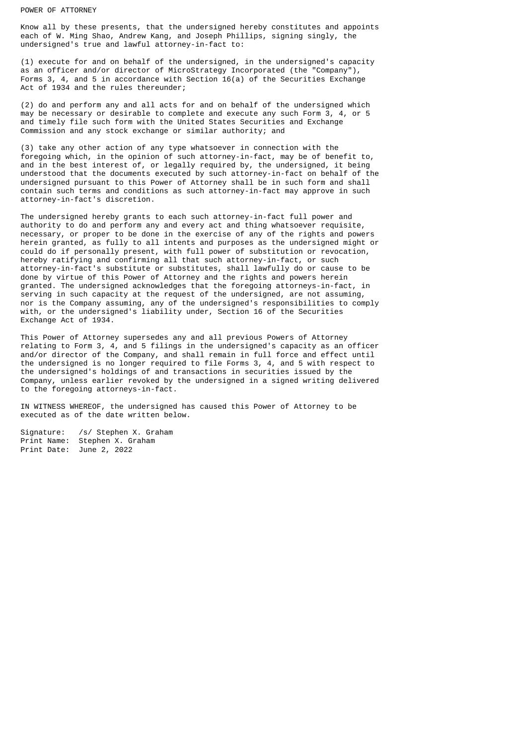#### POWER OF ATTORNEY

Know all by these presents, that the undersigned hereby constitutes and appoints each of W. Ming Shao, Andrew Kang, and Joseph Phillips, signing singly, the undersigned's true and lawful attorney-in-fact to:

(1) execute for and on behalf of the undersigned, in the undersigned's capacity as an officer and/or director of MicroStrategy Incorporated (the "Company"), Forms 3, 4, and 5 in accordance with Section 16(a) of the Securities Exchange Act of 1934 and the rules thereunder;

(2) do and perform any and all acts for and on behalf of the undersigned which may be necessary or desirable to complete and execute any such Form 3, 4, or 5 and timely file such form with the United States Securities and Exchange Commission and any stock exchange or similar authority; and

(3) take any other action of any type whatsoever in connection with the foregoing which, in the opinion of such attorney-in-fact, may be of benefit to, and in the best interest of, or legally required by, the undersigned, it being understood that the documents executed by such attorney-in-fact on behalf of the undersigned pursuant to this Power of Attorney shall be in such form and shall contain such terms and conditions as such attorney-in-fact may approve in such attorney-in-fact's discretion.

The undersigned hereby grants to each such attorney-in-fact full power and authority to do and perform any and every act and thing whatsoever requisite, necessary, or proper to be done in the exercise of any of the rights and powers herein granted, as fully to all intents and purposes as the undersigned might or could do if personally present, with full power of substitution or revocation, hereby ratifying and confirming all that such attorney-in-fact, or such attorney-in-fact's substitute or substitutes, shall lawfully do or cause to be done by virtue of this Power of Attorney and the rights and powers herein granted. The undersigned acknowledges that the foregoing attorneys-in-fact, in serving in such capacity at the request of the undersigned, are not assuming, nor is the Company assuming, any of the undersigned's responsibilities to comply with, or the undersigned's liability under, Section 16 of the Securities Exchange Act of 1934.

This Power of Attorney supersedes any and all previous Powers of Attorney relating to Form 3, 4, and 5 filings in the undersigned's capacity as an officer and/or director of the Company, and shall remain in full force and effect until the undersigned is no longer required to file Forms 3, 4, and 5 with respect to the undersigned's holdings of and transactions in securities issued by the Company, unless earlier revoked by the undersigned in a signed writing delivered to the foregoing attorneys-in-fact.

IN WITNESS WHEREOF, the undersigned has caused this Power of Attorney to be executed as of the date written below.

Signature: /s/ Stephen X. Graham Print Name: Stephen X. Graham Print Date: June 2, 2022